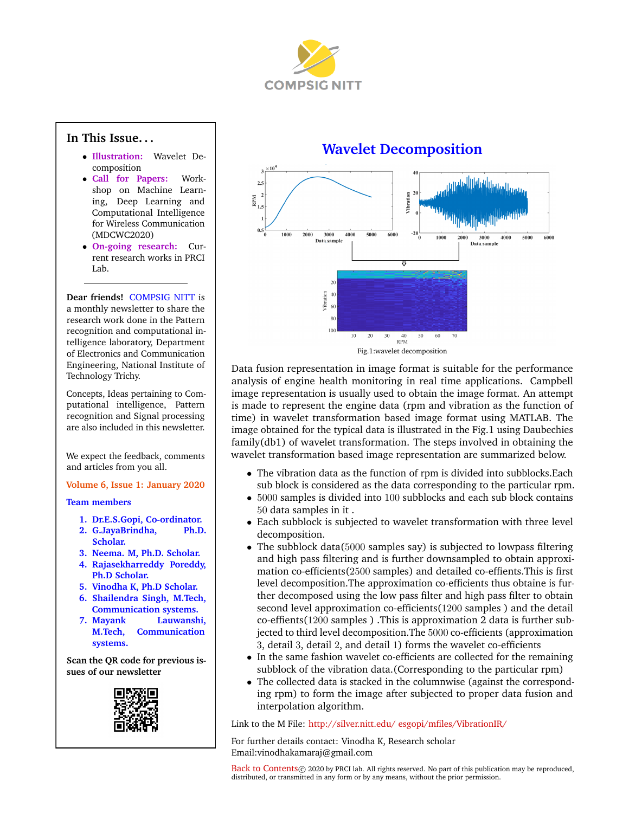

### <span id="page-0-1"></span>**In This Issue. . .**

- **Illustration:** [Wavelet De](#page-0-0)[composition](#page-0-0)
- **[Call for Papers:](#page-1-0)** Work[shop on Machine Learn](#page-1-0)[ing, Deep Learning and](#page-1-0) [Computational Intelligence](#page-1-0) [for Wireless Communication](#page-1-0) [\(MDCWC2020\)](#page-1-0)
- **[On-going research:](#page-1-1)** Cur[rent research works in PRCI](#page-1-1) [Lab.](#page-1-1)

**Dear friends!** COMPSIG NITT is a monthly newsletter to share the research work done in the Pattern recognition and computational intelligence laboratory, Department of Electronics and Communication Engineering, National Institute of Technology Trichy.

Concepts, Ideas pertaining to Computational intelligence, Pattern recognition and Signal processing are also included in this newsletter.

We expect the feedback, comments and articles from you all.

#### **Volume 6, Issue 1: January 2020**

#### **Team members**

- **1. Dr.E.S.Gopi, Co-ordinator.**
- **2. G.JayaBrindha, Ph.D. Scholar.**
- **3. Neema. M, Ph.D. Scholar.**
- **4. Rajasekharreddy Poreddy, Ph.D Scholar.**
- **5. Vinodha K, Ph.D Scholar.**
- **6. Shailendra Singh, M.Tech, Communication systems.**
- **7. Mayank Lauwanshi, M.Tech, Communication systems.**

**Scan the QR code for previous issues of our newsletter**



## **Wavelet Decomposition**

<span id="page-0-0"></span>



Data fusion representation in image format is suitable for the performance analysis of engine health monitoring in real time applications. Campbell image representation is usually used to obtain the image format. An attempt is made to represent the engine data (rpm and vibration as the function of time) in wavelet transformation based image format using MATLAB. The image obtained for the typical data is illustrated in the Fig.1 using Daubechies family(db1) of wavelet transformation. The steps involved in obtaining the wavelet transformation based image representation are summarized below.

- The vibration data as the function of rpm is divided into subblocks.Each sub block is considered as the data corresponding to the particular rpm.
- 5000 samples is divided into 100 subblocks and each sub block contains 50 data samples in it .
- Each subblock is subjected to wavelet transformation with three level decomposition.
- The subblock data(5000 samples say) is subjected to lowpass filtering and high pass filtering and is further downsampled to obtain approximation co-efficients(2500 samples) and detailed co-effients.This is first level decomposition.The approximation co-efficients thus obtaine is further decomposed using the low pass filter and high pass filter to obtain second level approximation co-efficients(1200 samples ) and the detail co-effients(1200 samples ) .This is approximation 2 data is further subjected to third level decomposition.The 5000 co-efficients (approximation 3, detail 3, detail 2, and detail 1) forms the wavelet co-efficients
- In the same fashion wavelet co-efficients are collected for the remaining subblock of the vibration data.(Corresponding to the particular rpm)
- The collected data is stacked in the columnwise (against the corresponding rpm) to form the image after subjected to proper data fusion and interpolation algorithm.

Link to the M File: [http://silver.nitt.edu/ esgopi/mfiles/VibrationIR/](http://silver.nitt.edu/~esgopi/mfiles/VibrationIR/)

For further details contact: Vinodha K, Research scholar Email:vinodhakamaraj@gmail.com

[Back to Contents](#page-0-1) @ 2020 by PRCI lab. All rights reserved. No part of this publication may be reproduced, distributed, or transmitted in any form or by any means, without the prior permission.